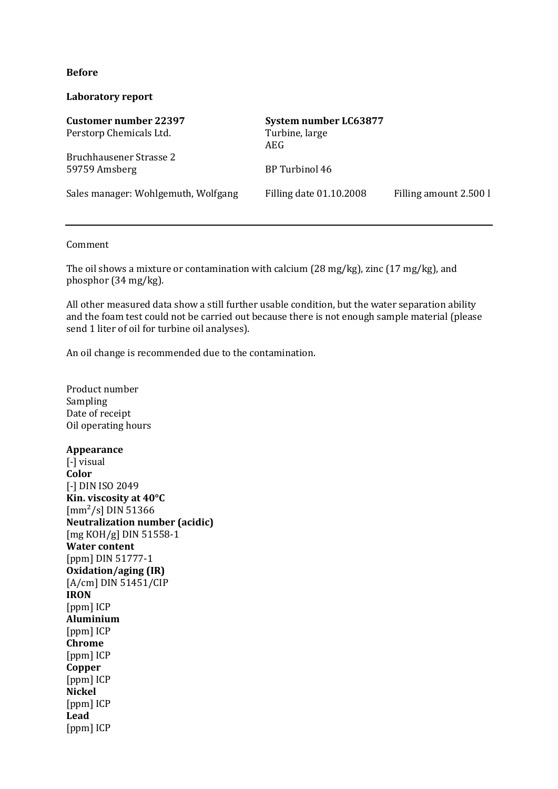#### **Before**

### **Laboratory report**

| <b>Customer number 22397</b>             | System number LC63877   |                        |
|------------------------------------------|-------------------------|------------------------|
| Perstorp Chemicals Ltd.                  | Turbine, large<br>AEG.  |                        |
| Bruchhausener Strasse 2<br>59759 Amsberg | BP Turbinol 46          |                        |
| Sales manager: Wohlgemuth, Wolfgang      | Filling date 01.10.2008 | Filling amount 2.500 l |

#### Comment

The oil shows a mixture or contamination with calcium (28 mg/kg), zinc (17 mg/kg), and phosphor (34 mg/kg).

All other measured data show a still further usable condition, but the water separation ability and the foam test could not be carried out because there is not enough sample material (please send 1 liter of oil for turbine oil analyses).

An oil change is recommended due to the contamination.

Product number Sampling Date of receipt Oil operating hours **Appearance** [-] visual **Color** [-] DIN ISO 2049 **Kin. viscosity at 40°C**  $\text{[mm}^2\text{/s]}$  DIN 51366 **Neutralization number (acidic)** [mg KOH/g] DIN 51558-1 **Water content** [ppm] DIN 51777-1 **Oxidation/aging (IR)** [A/cm] DIN 51451/CIP **IRON** [ppm] ICP **Aluminium** [ppm] ICP **Chrome** [ppm] ICP **Copper** [ppm] ICP **Nickel** [ppm] ICP **Lead** [ppm] ICP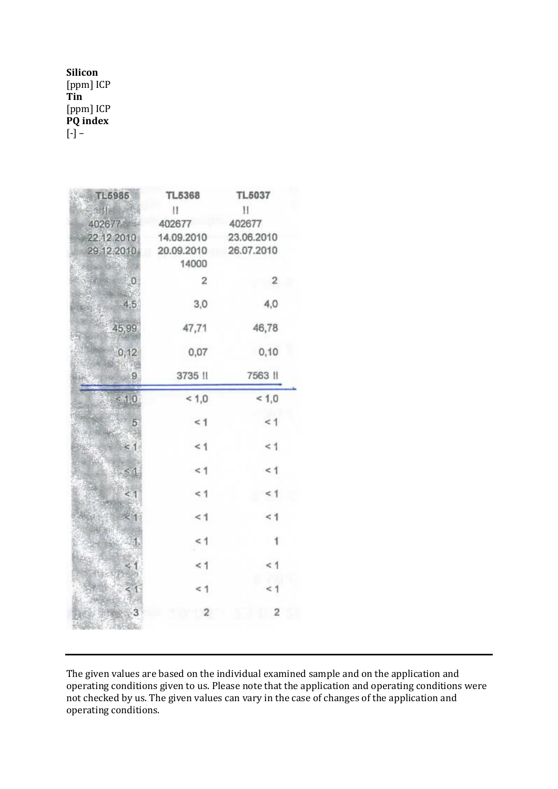# **Silicon** [ppm] ICP **Tin** [ppm] ICP **PQ index**  $[-] -$

| TL5985                          | <b>TL5368</b>  | TL5037         |  |
|---------------------------------|----------------|----------------|--|
| 化甘油油                            | Ħ              | 11             |  |
| 402677                          | 402677         | 402677         |  |
| 22.12.2010                      | 14.09.2010     | 23.06.2010     |  |
| 29.12.2010                      | 20.09.2010     | 26.07.2010     |  |
|                                 | 14000          |                |  |
| <b>PERMIT</b><br>$\overline{0}$ | $\overline{2}$ | $\overline{2}$ |  |
| 4,5                             | 3,0            | 4,0            |  |
| 45,99                           | 47,71          | 46,78          |  |
| 0,12                            | 0,07           | 0,10           |  |
| 9                               | 3735 !!        | 7563           |  |
| 1,0                             | 1,0            | < 1,0          |  |
| 5                               | $\leq 1$       | < 1            |  |
| $\leq 1$                        | < 1            | < 1            |  |
| S J                             | < 1            | < 1            |  |
| $\leq$ 1                        | < 1            | < 1            |  |
|                                 | $\leq 1$       | $\leq 1$       |  |
| 91                              | < 1            | 1              |  |
|                                 | < 1            | $\leq 1$       |  |
|                                 | < 1            | < 1            |  |
|                                 | $\overline{2}$ | 2              |  |

The given values are based on the individual examined sample and on the application and operating conditions given to us. Please note that the application and operating conditions were not checked by us. The given values can vary in the case of changes of the application and operating conditions.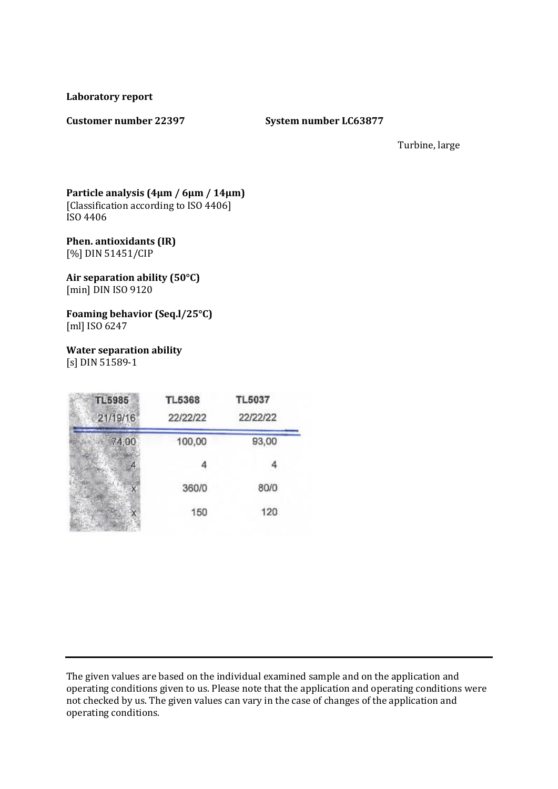**Laboratory report**

#### **Customer number 22397 System number LC63877**

Turbine, large

#### **Particle analysis (4µm / 6µm / 14µm)** [Classification according to ISO 4406] ISO 4406

#### **Phen. antioxidants (IR)** [%] DIN 51451/CIP

**Air separation ability (50°C)** [min] DIN ISO 9120

**Foaming behavior (Seq.l/25°C)** [ml] ISO 6247

**Water separation ability** [s] DIN 51589-1

| <b>TL5985</b><br>21/19/16 | <b>TL5368</b><br>22/22/22 | <b>TL5037</b><br>22/22/22 |  |
|---------------------------|---------------------------|---------------------------|--|
| 74,00                     | 100,00                    | 93,00                     |  |
|                           | 4                         |                           |  |
|                           | 360/0                     | 80/0                      |  |
|                           | 150                       | 120                       |  |

The given values are based on the individual examined sample and on the application and operating conditions given to us. Please note that the application and operating conditions were not checked by us. The given values can vary in the case of changes of the application and operating conditions.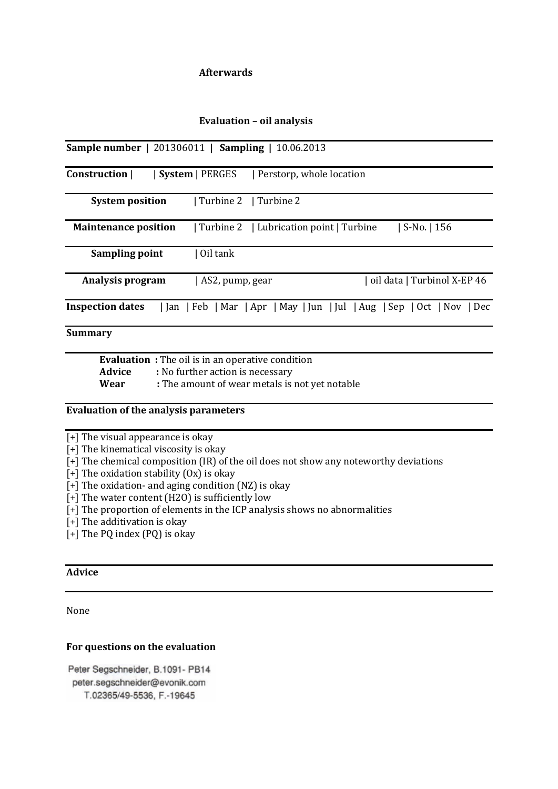## **Afterwards**

#### **Evaluation – oil analysis**

|                             | <b>Sample number</b>   201306011   <b>Sampling</b>   10.06.2013       |                             |
|-----------------------------|-----------------------------------------------------------------------|-----------------------------|
| Construction                | <b>System</b>   PERGES<br>Perstorp, whole location                    |                             |
| <b>System position</b>      | Turbine 2   Turbine 2                                                 |                             |
| <b>Maintenance position</b> | Turbine 2<br>  Lubrication point   Turbine                            | S-No. $ 156$                |
| Sampling point              | Oil tank                                                              |                             |
| Analysis program            | AS2, pump, gear                                                       | oil data   Turbinol X-EP 46 |
| <b>Inspection dates</b>     | Jan   Feb   Mar   Apr   May   Jun   Jul   Aug   Sep   Oct   Nov   Dec |                             |
| Summarv                     |                                                                       |                             |

**Evaluation :** The oil is in an operative condition Advice : No further action is necessary **Wear :** The amount of wear metals is not yet notable

#### **Evaluation of the analysis parameters**

 $\sqrt{+}$  The visual appearance is okay

[+] The kinematical viscosity is okay

[+] The chemical composition (IR) of the oil does not show any noteworthy deviations

 $\left[+\right]$  The oxidation stability  $(0x)$  is okay

[+] The oxidation- and aging condition (NZ) is okay

[+] The water content (H2O) is sufficiently low

[+] The proportion of elements in the ICP analysis shows no abnormalities

[+] The additivation is okay

[+] The PQ index (PQ) is okay

# **Advice**

None

#### **For questions on the evaluation**

Peter Segschneider, B.1091- PB14 peter.segschneider@evonik.com T.02365/49-5536, F.-19645